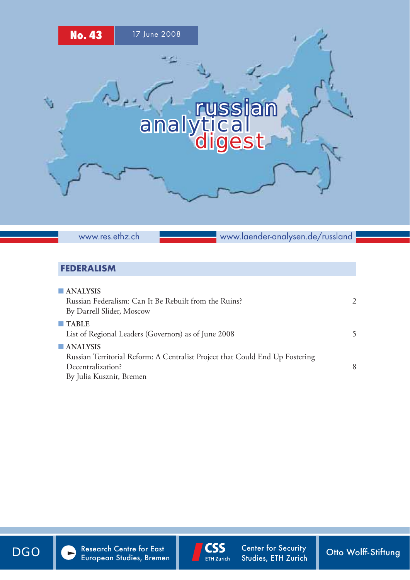

www.res.ethz.ch

www.laender-analysen.de/russland

## FEDERALISM

| $\blacksquare$ ANALYSIS<br>Russian Federalism: Can It Be Rebuilt from the Ruins?<br>By Darrell Slider, Moscow                                            | $\mathcal{D}_{\cdot}$ |
|----------------------------------------------------------------------------------------------------------------------------------------------------------|-----------------------|
| $\blacksquare$ TABLE<br>List of Regional Leaders (Governors) as of June 2008                                                                             | 5                     |
| $\blacksquare$ ANALYSIS<br>Russian Territorial Reform: A Centralist Project that Could End Up Fostering<br>Decentralization?<br>By Julia Kusznir, Bremen | 8                     |



DGO Research Centre for East CSS Center for Security Otto Wolff-Stiftung



Center for Security Studies, ETH Zurich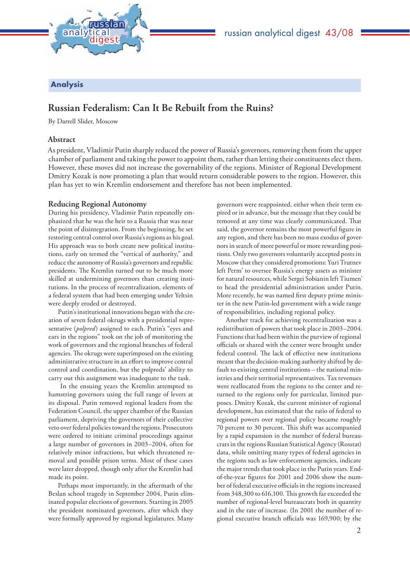

Analysis

## **Russian Federalism: Can It Be Rebuilt from the Ruins?**

By Darrell Slider, Moscow

#### **Abstract**

As president, Vladimir Putin sharply reduced the power of Russia's governors, removing them from the upper chamber of parliament and taking the power to appoint them, rather than letting their constituents elect them. However, these moves did not increase the governability of the regions. Minister of Regional Development Dmitry Kozak is now promoting a plan that would return considerable powers to the region. However, this plan has yet to win Kremlin endorsement and therefore has not been implemented.

#### **Reducing Regional Autonomy**

During his presidency, Vladimir Putin repeatedly emphasized that he was the heir to a Russia that was near the point of disintegration. From the beginning, he set restoring central control over Russia's regions as his goal. His approach was to both create new political institutions, early on termed the "vertical of authority," and reduce the autonomy of Russia's governors and republic presidents. The Kremlin turned out to be much more skilled at undermining governors than creating institutions. In the process of recentralization, elements of a federal system that had been emerging under Yeltsin were deeply eroded or destroyed.

Putin's institutional innovations began with the creation of seven federal okrugs with a presidential representative (*polpred*) assigned to each. Putin's "eyes and ears in the regions" took on the job of monitoring the work of governors and the regional branches of federal agencies. The okrugs were superimposed on the existing administrative structure in an effort to improve central control and coordination, but the polpreds' ability to carry out this assignment was inadequate to the task.

 In the ensuing years the Kremlin attempted to hamstring governors using the full range of levers at its disposal. Putin removed regional leaders from the Federation Council, the upper chamber of the Russian parliament, depriving the governors of their collective veto over federal policies toward the regions. Prosecutors were ordered to initiate criminal proceedings against a large number of governors in 2003–2004, often for relatively minor infractions, but which threatened removal and possible prison terms. Most of these cases were later dropped, though only after the Kremlin had made its point.

Perhaps most importantly, in the aftermath of the Beslan school tragedy in September 2004, Putin eliminated popular elections of governors. Starting in 2005 the president nominated governors, after which they were formally approved by regional legislatures. Many

governors were reappointed, either when their term expired or in advance, but the message that they could be removed at any time was clearly communicated. That said, the governor remains the most powerful figure in any region, and there has been no mass exodus of governors in search of more powerful or more rewarding positions. Only two governors voluntarily accepted posts in Moscow that they considered promotions: Yuri Trutnev left Perm' to oversee Russia's energy assets as minister for natural resources, while Sergei Sobianin left Tiumen' to head the presidential administration under Putin. More recently, he was named first deputy prime minister in the new Putin-led government with a wide range of responsibilities, including regional policy.

Another track for achieving recentralization was a redistribution of powers that took place in 2003–2004. Functions that had been within the purview of regional officials or shared with the center were brought under federal control. The lack of effective new institutions meant that the decision-making authority shifted by default to existing central institutions – the national ministries and their territorial representatives. Tax revenues were reallocated from the regions to the center and returned to the regions only for particular, limited purposes. Dmitry Kozak, the current minister of regional development, has estimated that the ratio of federal to regional powers over regional policy became roughly 70 percent to 30 percent. This shift was accompanied by a rapid expansion in the number of federal bureaucrats in the regions Russian Statistical Agency (Rosstat) data, while omitting many types of federal agencies in the regions such as law enforcement agencies, indicate the major trends that took place in the Putin years. Endof-the-year figures for 2001 and 2006 show the number of federal executive officials in the regions increased from 348,300 to 616,100. This growth far exceeded the number of regional-level bureaucrats both in quantity and in the rate of increase. (In 2001 the number of regional executive branch officials was 169,900; by the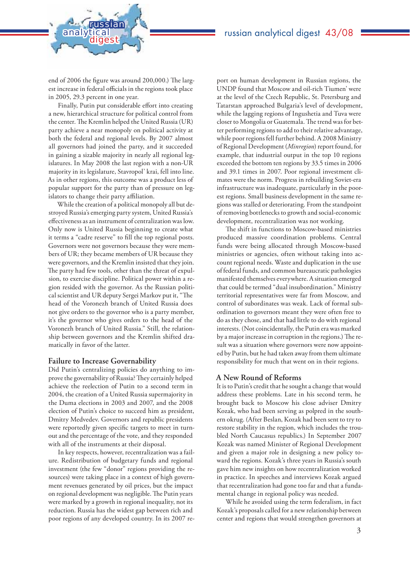

end of 2006 the figure was around 200,000.) The largest increase in federal officials in the regions took place in 2005, 29.3 percent in one year.

Finally, Putin put considerable effort into creating a new, hierarchical structure for political control from the center. The Kremlin helped the United Russia (UR) party achieve a near monopoly on political activity at both the federal and regional levels. By 2007 almost all governors had joined the party, and it succeeded in gaining a sizable majority in nearly all regional legislatures. In May 2008 the last region with a non-UR majority in its legislature, Stavropol' krai, fell into line. As in other regions, this outcome was a product less of popular support for the party than of pressure on legislators to change their party affiliation.

While the creation of a political monopoly all but destroyed Russia's emerging party system, United Russia's effectiveness as an instrument of centralization was low. Only now is United Russia beginning to create what it terms a "cadre reserve" to fill the top regional posts. Governors were not governors because they were members of UR; they became members of UR because they were governors, and the Kremlin insisted that they join. The party had few tools, other than the threat of expulsion, to exercise discipline. Political power within a region resided with the governor. As the Russian political scientist and UR deputy Sergei Markov put it, "The head of the Voronezh branch of United Russia does not give orders to the governor who is a party member, it's the governor who gives orders to the head of the Voronezh branch of United Russia." Still, the relationship between governors and the Kremlin shifted dramatically in favor of the latter.

#### **Failure to Increase Governability**

Did Putin's centralizing policies do anything to improve the governability of Russia? They certainly helped achieve the reelection of Putin to a second term in 2004, the creation of a United Russia supermajority in the Duma elections in 2003 and 2007, and the 2008 election of Putin's choice to succeed him as president, Dmitry Medvedev. Governors and republic presidents were reportedly given specific targets to meet in turnout and the percentage of the vote, and they responded with all of the instruments at their disposal.

In key respects, however, recentralization was a failure. Redistribution of budgetary funds and regional investment (the few "donor" regions providing the resources) were taking place in a context of high government revenues generated by oil prices, but the impact on regional development was negligible. The Putin years were marked by a growth in regional inequality, not its reduction. Russia has the widest gap between rich and poor regions of any developed country. In its 2007 re-

port on human development in Russian regions, the UNDP found that Moscow and oil-rich Tiumen' were at the level of the Czech Republic, St. Petersburg and Tatarstan approached Bulgaria's level of development, while the lagging regions of Ingushetia and Tuva were closer to Mongolia or Guatemala. The trend was for better performing regions to add to their relative advantage, while poor regions fell further behind. A 2008 Ministry of Regional Development (*Minregion*) report found, for example, that industrial output in the top 10 regions exceeded the bottom ten regions by 33.5 times in 2006 and 39.1 times in 2007. Poor regional investment climates were the norm. Progress in rebuilding Soviet-era infrastructure was inadequate, particularly in the poorest regions. Small business development in the same regions was stalled or deteriorating. From the standpoint of removing bottlenecks to growth and social-economic development, recentralization was not working.

The shift in functions to Moscow-based ministries produced massive coordination problems. Central funds were being allocated through Moscow-based ministries or agencies, often without taking into account regional needs. Waste and duplication in the use of federal funds, and common bureaucratic pathologies manifested themselves everywhere. A situation emerged that could be termed "dual insubordination." Ministry territorial representatives were far from Moscow, and control of subordinates was weak. Lack of formal subordination to governors meant they were often free to do as they chose, and that had little to do with regional interests. (Not coincidentally, the Putin era was marked by a major increase in corruption in the regions.) The result was a situation where governors were now appointed by Putin, but he had taken away from them ultimate responsibility for much that went on in their regions.

#### **A New Round of Reforms**

It is to Putin's credit that he sought a change that would address these problems. Late in his second term, he brought back to Moscow his close adviser Dmitry Kozak, who had been serving as polpred in the southern okrug. (After Beslan, Kozak had been sent to try to restore stability in the region, which includes the troubled North Caucasus republics.) In September 2007 Kozak was named Minister of Regional Development and given a major role in designing a new policy toward the regions. Kozak's three years in Russia's south gave him new insights on how recentralization worked in practice. In speeches and interviews Kozak argued that recentralization had gone too far and that a fundamental change in regional policy was needed.

While he avoided using the term federalism, in fact Kozak's proposals called for a new relationship between center and regions that would strengthen governors at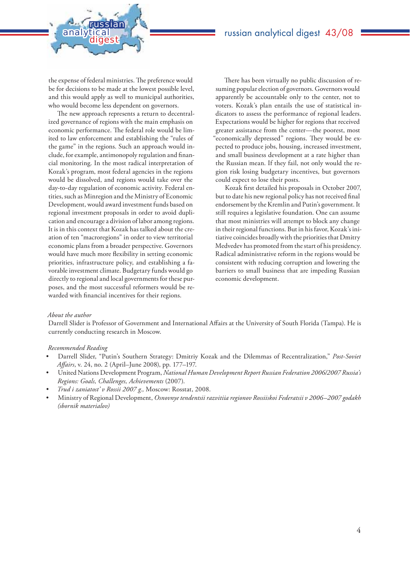the expense of federal ministries. The preference would be for decisions to be made at the lowest possible level, and this would apply as well to municipal authorities, who would become less dependent on governors.

analytical<br>digest

russian

The new approach represents a return to decentralized governance of regions with the main emphasis on economic performance. The federal role would be limited to law enforcement and establishing the "rules of the game" in the regions. Such an approach would include, for example, antimonopoly regulation and financial monitoring. In the most radical interpretation of Kozak's program, most federal agencies in the regions would be dissolved, and regions would take over the day-to-day regulation of economic activity. Federal entities, such as Minregion and the Ministry of Economic Development, would award investment funds based on regional investment proposals in order to avoid duplication and encourage a division of labor among regions. It is in this context that Kozak has talked about the creation of ten "macroregions" in order to view territorial economic plans from a broader perspective. Governors would have much more flexibility in setting economic priorities, infrastructure policy, and establishing a favorable investment climate. Budgetary funds would go directly to regional and local governments for these purposes, and the most successful reformers would be rewarded with financial incentives for their regions.

There has been virtually no public discussion of resuming popular election of governors. Governors would apparently be accountable only to the center, not to voters. Kozak's plan entails the use of statistical indicators to assess the performance of regional leaders. Expectations would be higher for regions that received greater assistance from the center—the poorest, most "economically depressed" regions. They would be expected to produce jobs, housing, increased investment, and small business development at a rate higher than the Russian mean. If they fail, not only would the region risk losing budgetary incentives, but governors could expect to lose their posts.

Kozak first detailed his proposals in October 2007, but to date his new regional policy has not received final endorsement by the Kremlin and Putin's government. It still requires a legislative foundation. One can assume that most ministries will attempt to block any change in their regional functions. But in his favor, Kozak's initiative coincides broadly with the priorities that Dmitry Medvedev has promoted from the start of his presidency. Radical administrative reform in the regions would be consistent with reducing corruption and lowering the barriers to small business that are impeding Russian economic development.

#### *About the author*

Darrell Slider is Professor of Government and International Affairs at the University of South Florida (Tampa). He is currently conducting research in Moscow.

#### *Recommended Reading*

- Darrell Slider, "Putin's Southern Strategy: Dmitriy Kozak and the Dilemmas of Recentralization," *Post-Soviet Aff airs*, v. 24, no. 2 (April–June 2008), pp. 177–197.
- United Nations Development Program, *National Human Development Report Russian Federation 2006/2007 Russia's Regions: Goals, Challenges, Achievements* (2007).
- *Trud i zaniatost' v Rossii 2007 g.,* Moscow: Rosstat, 2008.
- Ministry of Regional Development, *Osnovnye tendentsii razvitiia regionov Rossiiskoi Federatsii v 2006–2007 godakh (sbornik materialov)*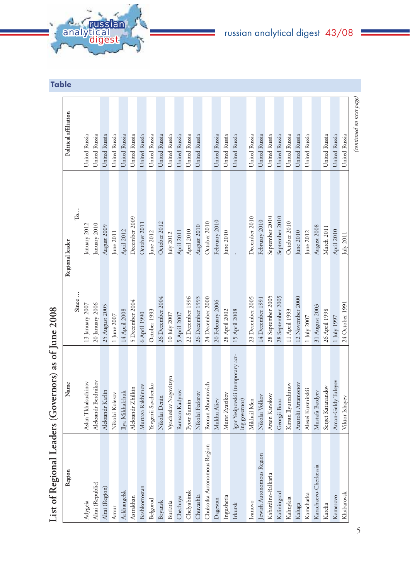| <b>A. Gussian</b><br><b>analytical</b><br><b>digest</b> |  |
|---------------------------------------------------------|--|
|                                                         |  |
|                                                         |  |
|                                                         |  |

## russian analytical digest 43/08

|                            | List of Regional Leaders (Governors) as of June 2008 |                   |                 |                          |
|----------------------------|------------------------------------------------------|-------------------|-----------------|--------------------------|
| Region                     | Name                                                 |                   | Regional leader | Political affiliation    |
|                            |                                                      | Since             | $\mathbf{T_0}$  |                          |
| Adygeia                    | Aslan Tkhakushinov                                   | 13 January 2007   | January 2012    | United Russia            |
| Altai (Republic)           | Aleksandr Berdnikov                                  | 20 January 2006   | January 2010    | United Russia            |
| Altai (Region)             | Aleksandr Karlin                                     | 25 August 2005    | August 2009     | United Russia            |
| Amur                       | Nikolai Kolesov                                      | $1$ June $2007\,$ | June 2011       | United Russia            |
| Arkhangelsk                | Ilya Mikhalchuk                                      | 14 April 2008     | April 2012      | United Russia            |
| Astrakhan                  | Aleksandr Zhilkin                                    | 5 December 2004   | December 2009   | United Russia            |
| Bashkortostan              | Murtaza Rakhimov                                     | 6 April 1990      | October 2011    | United Russia            |
| Belgorod                   | Yevgenii Savchenko                                   | October 1993      | June 2012       | United Russia            |
| Bryansk                    | Nikolai Denin                                        | 26 December 2004  | October 2012    | United Russia            |
| Buriatia                   | Vyacheslav Nagovitsyn                                | 10 July 2007      | July 2012       | United Russia            |
| Chechnya                   | Ramsan Kadyrov                                       | 5 April 2007      | April 2011      | United Russia            |
| Chelyabinsk                | Pyotr Sumin                                          | 22 December 1996  | April 2010      | United Russia            |
| Chuvashia                  | Nikolai Fedorov                                      | 26 December 1993  | August 2010     | United Russia            |
| Chukotka Autonomous Region | Roman Abramovich                                     | 24 December 2000  | October 2010    |                          |
| Dagestan                   | Mukhu Aliev                                          | 20 February 2006  | February 2010   | United Russia            |
| Ingushetia                 | Murat Zyazikov                                       | 28 April 2002     | June 2010       | United Russia            |
| Irkutsk                    | Igor Yesipovskii (temporary act-<br>ing governor)    | 15 April 2008     |                 | United Russia            |
| Ivanovo                    | Mikhail Men                                          | 23 December 2005  | December 2010   | United Russia            |
| Jewish Autonomous Region   | Nikolai Volkov                                       | 14 December 1991  | February 2010   | United Russia            |
| Kabardino-Balkaria         | Arsen Kanokov                                        | 28 September 2005 | September 2010  | United Russia            |
| Kaliningrad                | Georgii Boos                                         | 28 September 2005 | September 2010  | United Russia            |
| Kalmykia                   | Kirsan Ilyumzhinov                                   | 11 April 1993     | October 2010    | United Russia            |
| Kaluga                     | Anatolii Artamonov                                   | 12 November 2000  | June 2010       | United Russia            |
| Kamchatka                  | Alexei Kuzmitskii                                    | 1 July 2007       | June 2012       | United Russia            |
| Karachaevo-Cherkessia      | Mustafa Batdyev                                      | 31 August 2003    | August 2008     |                          |
| Karelia                    | Sergei Katanandov                                    | 26 April 1998     | March 2011      | United Russia            |
| Kemerovo                   | Aman-Geldy Tuleyev                                   | $1$ July 1997     | April 2010      | United Russia            |
| Khabarovsk                 | Viktor Ishayev                                       | 24 October 1991   | July 2011       | United Russia            |
|                            |                                                      |                   |                 | (continued on next page) |

J.

Table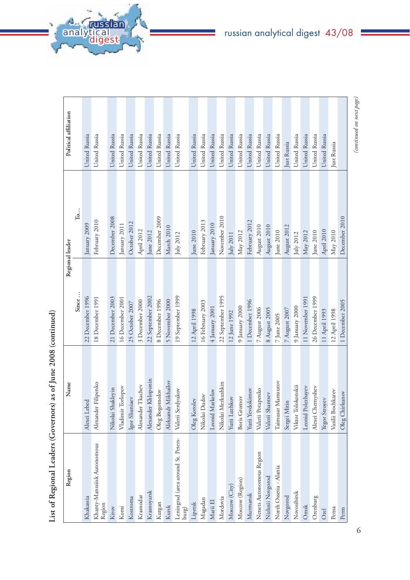| Region                                      | Name                           | Regional leader   |                         | Political affiliation |
|---------------------------------------------|--------------------------------|-------------------|-------------------------|-----------------------|
|                                             |                                | Since             | $T_0 \ldots$            |                       |
| Khakassia                                   | Alexei Lebed                   | 22 December 1996  | January 2009            | United Russia         |
| Khanty-Manssiisk Autonomous<br>Region       | Alexander Filipenko            | 18 December 1991  | February 2010           | United Russia         |
| Kirov                                       | Nikolai Shakleyin              | 21 December 2003  | December 2008           | United Russia         |
| Komi                                        | Vladimir Torlopov              | 16 December 2001  | January 2011            | United Russia         |
| Kostroma                                    | Igor Sliuniaev                 | 25 October 2007   | October 2012            | United Russia         |
| Krasnodar                                   | Alexander Tkachev              | 3 December 2000   | April 2012              | United Russia         |
| Krasnoyarsk                                 | Alexander Khloponin            | 22 September 2002 | June 2012               | United Russia         |
| Kurgan                                      | Bogomolov<br>Oleg <sup>7</sup> | 8 December 1996   | December 2009           | United Russia         |
| Kursk                                       | Aleksandr Mikhailov            | 5 November 2000   | March 2010              | United Russia         |
| Leningrad (area around St. Peters-<br>purg) | Valerii Serdyukov              | 19 September 1999 | July 2012               | United Russia         |
| Lipetsk                                     | Korolev<br>Oleg                | 12 April 1998     | June 2010               | United Russia         |
| Magadan                                     | Nikolai Dudov                  | 16 February 2003  | February 2013           | United Russia         |
| Marii El                                    | Leonid Markelov                | 4 January 2001    | January 2010            | United Russia         |
| Mordovia                                    | Nikolai Merkushkin             | 22 September 1995 | November 2010           | United Russia         |
| Moscow (City)                               | Luzhkov<br>Yurii               | 12 June 1992      | July 2011               | United Russia         |
| Moscow (Region)                             | Boris Gromov                   | 9 January 2000    | May 2012                | United Russia         |
| Murmansk                                    | Yevdokimov<br>Yurii            | 1 December 1996   | February 2012           | United Russia         |
| Nenets Autonomous Region                    | Valerii Potapenko              | 7 August 2006     | August 2010             | United Russia         |
| Nizhnii Novgorod                            | Valerii Shantsev               | 8 August 2005     | August 2010             | United Russia         |
| North Ossetia - Alania                      | Taimusar Mamsurov              | $7$ June $2005\,$ | $\rm{June}$ $\rm{2010}$ | United Russia         |
| Novgorod                                    | Sergei Mitin                   | 7 August 2007     | August 2012             | Just Russia           |
| Novosibirsk                                 | Viktor Tolokonskii             | 9 January 2000    | July 2012               | United Russia         |
| Omsk                                        | Leonid Polezhayev              | 11 November 1991  | May 2012                | United Russia         |
| Orenburg                                    | Alexei Chemyshev               | 26 December 1999  | June 2010               | United Russia         |
| <b>Orel</b>                                 | Stroyev<br>Yegor               | 11 April 1993     | April 2010              | United Russia         |
| Pensa                                       | Vasilii Bochkarev              | 12 April 1998     | $\rm{May}$ $\rm{2010}$  | Just Russia           |
| Perm                                        | Chirkunov<br>Oleg <sup>1</sup> | 1 December 2005   | December 2010           |                       |

L.

List of Regional Leaders (Governors) as of June 2008 (continued) **List of Regional Leaders (Governors) as of June 2008 (continued)**

analytical<br>digest

russian

6

# russian analytical digest 43/08

(continued on next page) *(continued on next page)*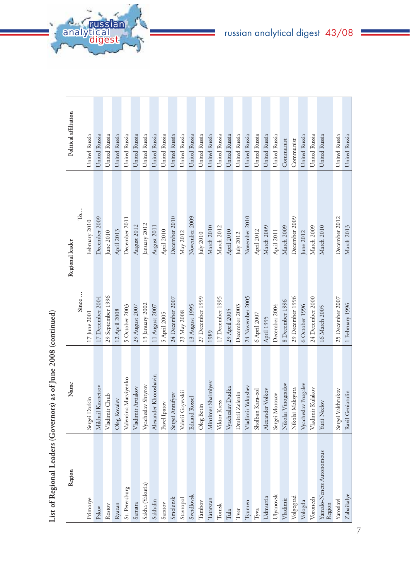| -<br>-<br>-                   |
|-------------------------------|
| c<br>c<br>c                   |
| i<br>$\overline{\phantom{a}}$ |
| noted as of line<br>;<br>ť    |
| I<br>---------<br>I           |
| I                             |
| $-2$ aring<br>١               |
| ;<br>;<br>ŀ                   |

| Region                             | Name                  | Regional leader    |                         | Political affiliation |
|------------------------------------|-----------------------|--------------------|-------------------------|-----------------------|
|                                    |                       | Since              | $T_0, \ldots$           |                       |
| Primorye                           | Sergei Darkin         | $17$ June $2001\,$ | February 2010           | United Russia         |
| Pskov                              | Mikhail Kuznetsov     | 17 December 2004   | December 2009           | United Russia         |
| Rostov                             | Chub<br>Vladimir      | 29 September 1996  | $\rm{June}$ $\rm{2010}$ | United Russia         |
| Ryazan                             | Oleg Kovalev          | 12 April 2008      | April 2013              | United Russia         |
| St. Petersburg                     | Valentina Matviyenko  | 5 October 2003     | December 2011           | United Russia         |
| Samara                             | Vladimir Artiakov     | $29$ August $2007$ | August 2012             | United Russia         |
| Sakha (Yakutia)                    | Vyacheslav Shtyrov    | 13 January 2002    | January 2012            | United Russia         |
| Sakhalin                           | Alexander Khoroshavin | 11 August 2007     | August 2011             | United Russia         |
| Saratov                            | Pavel Ipatov          | 5 April 2005       | April 2010              | United Russia         |
| Smolensk                           | Sergei Antufyev       | 24 December 2007   | December 2010           | United Russia         |
| Stavropol                          | Valerii Gayevskii     | $23$ May $2008$    | $\rm{May}$ $\rm{2012}$  | United Russia         |
| Sverdlovsk                         | Eduard Rossel         | 13 August 1995     | November 2009           | United Russia         |
| Tambov                             | Oleg Betin            | 27 December 1999   | July 2010               | United Russia         |
| Tatarstan                          | Mintimer Shaimiyev    | 1989               | March 2010              | United Russia         |
| Tomsk                              | Viktor Kress          | 17 December 1995   | March 2012              | United Russia         |
| Tula                               | Vyacheslav Dudka      | 29 April 2005      | April 2010              | United Russia         |
| Tver                               | Dmitrii Zelenin       | December 2003      | July 2012               | United Russia         |
| Tyumen                             | Yakushev<br>Vladimir  | 24 November 2005   | November 2010           | United Russia         |
| Туча                               | Sholban Kara-ool      | 6 April 2007       | April 2012              | United Russia         |
| Udmurtia                           | Alexander Volkov      | April 1995         | March 2009              | United Russia         |
| Ulyanovsk                          | Sergei Morozov        | December 2004      | April 2011              | United Russia         |
| Vladimir                           | Nikolai Vinogradov    | 8 December 1996    | March 2009              | Communist             |
| Volgograd                          | Nikolai Maksyuta      | 29 December 1996   | December 2009           | Communist             |
| Vologda                            | Vyacheslav Posgalev   | 6 October 1996     | June 2012               | United Russia         |
| Voronezh                           | Vladimir Kulakov      | 24 December 2000   | March 2009              | United Russia         |
| Yamalo-Nenets Autonomous<br>Region | Yurii Neelov          | 16 March 2005      | March 2010              | United Russia         |
| Yaroslavl                          | Sergei Vakhrukov      | 25 December 2007   | December 2012           | United Russia         |
| Zabaikalye                         | Ravil Geniatulin      | 1 February 1996    | March 2013              | United Russia         |

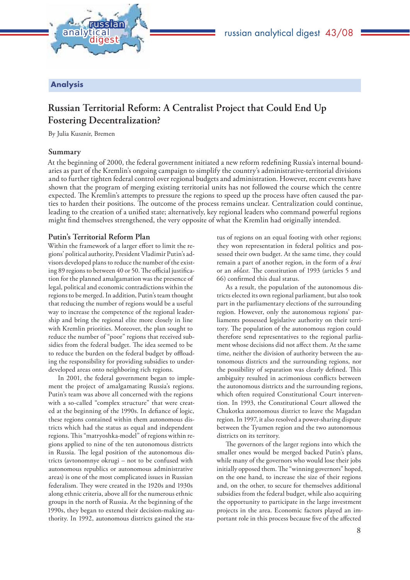

#### Analysis

## **Russian Territorial Reform: A Centralist Project that Could End Up Fostering Decentralization?**

By Julia Kusznir, Bremen

#### **Summary**

At the beginning of 2000, the federal government initiated a new reform redefining Russia's internal boundaries as part of the Kremlin's ongoing campaign to simplify the country's administrative-territorial divisions and to further tighten federal control over regional budgets and administration. However, recent events have shown that the program of merging existing territorial units has not followed the course which the centre expected. The Kremlin's attempts to pressure the regions to speed up the process have often caused the parties to harden their positions. The outcome of the process remains unclear. Centralization could continue, leading to the creation of a unified state; alternatively, key regional leaders who command powerful regions might find themselves strengthened, the very opposite of what the Kremlin had originally intended.

#### **Putin's Territorial Reform Plan**

Within the framework of a larger effort to limit the regions' political authority, President Vladimir Putin's advisors developed plans to reduce the number of the existing 89 regions to between 40 or 50. The official justification for the planned amalgamation was the presence of legal, political and economic contradictions within the regions to be merged. In addition, Putin's team thought that reducing the number of regions would be a useful way to increase the competence of the regional leadership and bring the regional elite more closely in line with Kremlin priorities. Moreover, the plan sought to reduce the number of "poor" regions that received subsidies from the federal budget. The idea seemed to be to reduce the burden on the federal budget by offloading the responsibility for providing subsidies to underdeveloped areas onto neighboring rich regions.

In 2001, the federal government began to implement the project of amalgamating Russia's regions. Putin's team was above all concerned with the regions with a so-called "complex structure" that were created at the beginning of the 1990s. In defiance of logic, these regions contained within them autonomous districts which had the status as equal and independent regions. This "matryoshka-model" of regions within regions applied to nine of the ten autonomous districts in Russia. The legal position of the autonomous districts (avtonomnye okrugi – not to be confused with autonomous republics or autonomous administrative areas) is one of the most complicated issues in Russian federalism. They were created in the 1920s and 1930s along ethnic criteria, above all for the numerous ethnic groups in the north of Russia. At the beginning of the 1990s, they began to extend their decision-making authority. In 1992, autonomous districts gained the sta-

tus of regions on an equal footing with other regions; they won representation in federal politics and possessed their own budget. At the same time, they could remain a part of another region, in the form of a *krai* or an *oblast*. The constitution of 1993 (articles 5 and 66) confirmed this dual status.

As a result, the population of the autonomous districts elected its own regional parliament, but also took part in the parliamentary elections of the surrounding region. However, only the autonomous regions' parliaments possessed legislative authority on their territory. The population of the autonomous region could therefore send representatives to the regional parliament whose decisions did not affect them. At the same time, neither the division of authority between the autonomous districts and the surrounding regions, nor the possibility of separation was clearly defined. This ambiguity resulted in acrimonious conflicts between the autonomous districts and the surrounding regions, which often required Constitutional Court intervention. In 1993, the Constitutional Court allowed the Chukotka autonomous district to leave the Magadan region. In 1997, it also resolved a power-sharing dispute between the Tyumen region and the two autonomous districts on its territory.

The governors of the larger regions into which the smaller ones would be merged backed Putin's plans, while many of the governors who would lose their jobs initially opposed them. The "winning governors" hoped, on the one hand, to increase the size of their regions and, on the other, to secure for themselves additional subsidies from the federal budget, while also acquiring the opportunity to participate in the large investment projects in the area. Economic factors played an important role in this process because five of the affected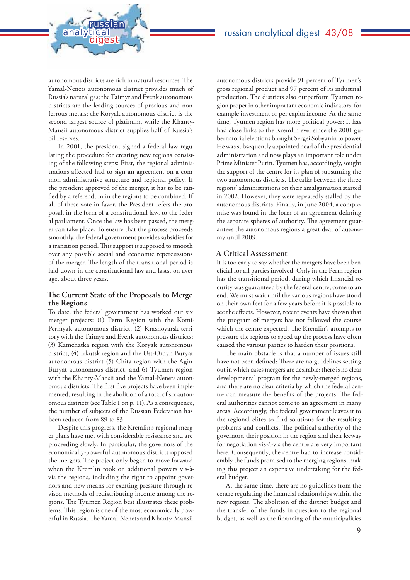autonomous districts are rich in natural resources: The Yamal-Nenets autonomous district provides much of Russia's natural gas; the Taimyr and Evenk autonomous districts are the leading sources of precious and nonferrous metals; the Koryak autonomous district is the second largest source of platinum, while the Khanty-Mansii autonomous district supplies half of Russia's oil reserves.

analytical<br>digest

russian

In 2001, the president signed a federal law regulating the procedure for creating new regions consisting of the following steps: First, the regional administrations affected had to sign an agreement on a common administrative structure and regional policy. If the president approved of the merger, it has to be ratified by a referendum in the regions to be combined. If all of these vote in favor, the President refers the proposal, in the form of a constitutional law, to the federal parliament. Once the law has been passed, the merger can take place. To ensure that the process proceeds smoothly, the federal government provides subsidies for a transition period. This support is supposed to smooth over any possible social and economic repercussions of the merger. The length of the transitional period is laid down in the constitutional law and lasts, on average, about three years.

#### **The Current State of the Proposals to Merge the Regions**

To date, the federal government has worked out six merger projects: (1) Perm Region with the Komi-Permyak autonomous district; (2) Krasnoyarsk territory with the Taimyr and Evenk autonomous districts; (3) Kamchatka region with the Koryak autonomous district; (4) Irkutsk region and the Ust-Ordyn Buryat autonomous district (5) Chita region with the Agin-Buryat autonomous district, and 6) Tyumen region with the Khanty-Mansii and the Yamal-Nenets autonomous districts. The first five projects have been implemented, resulting in the abolition of a total of six autonomous districts (see Table 1 on p. 11). As a consequence, the number of subjects of the Russian Federation has been reduced from 89 to 83.

Despite this progress, the Kremlin's regional merger plans have met with considerable resistance and are proceeding slowly. In particular, the governors of the economically-powerful autonomous districts opposed the mergers. The project only began to move forward when the Kremlin took on additional powers vis-àvis the regions, including the right to appoint governors and new means for exerting pressure through revised methods of redistributing income among the regions. The Tyumen Region best illustrates these problems. This region is one of the most economically powerful in Russia. The Yamal-Nenets and Khanty-Mansii

autonomous districts provide 91 percent of Tyumen's gross regional product and 97 percent of its industrial production. The districts also outperform Tyumen region proper in other important economic indicators, for example investment or per capita income. At the same time, Tyumen region has more political power: It has had close links to the Kremlin ever since the 2001 gubernatorial elections brought Sergei Sobyanin to power. He was subsequently appointed head of the presidential administration and now plays an important role under Prime Minister Putin. Tyumen has, accordingly, sought the support of the centre for its plan of subsuming the two autonomous districts. The talks between the three regions' administrations on their amalgamation started in 2002. However, they were repeatedly stalled by the autonomous districts. Finally, in June 2004, a compromise was found in the form of an agreement defining the separate spheres of authority. The agreement guarantees the autonomous regions a great deal of autonomy until 2009.

#### **A Critical Assessment**

It is too early to say whether the mergers have been beneficial for all parties involved. Only in the Perm region has the transitional period, during which financial security was guaranteed by the federal centre, come to an end. We must wait until the various regions have stood on their own feet for a few years before it is possible to see the effects. However, recent events have shown that the program of mergers has not followed the course which the centre expected. The Kremlin's attempts to pressure the regions to speed up the process have often caused the various parties to harden their positions.

The main obstacle is that a number of issues still have not been defined: There are no guidelines setting out in which cases mergers are desirable; there is no clear developmental program for the newly-merged regions, and there are no clear criteria by which the federal centre can measure the benefits of the projects. The federal authorities cannot come to an agreement in many areas. Accordingly, the federal government leaves it to the regional elites to find solutions for the resulting problems and conflicts. The political authority of the governors, their position in the region and their leeway for negotiation vis-à-vis the centre are very important here. Consequently, the centre had to increase considerably the funds promised to the merging regions, making this project an expensive undertaking for the federal budget.

At the same time, there are no guidelines from the centre regulating the financial relationships within the new regions. The abolition of the district budget and the transfer of the funds in question to the regional budget, as well as the financing of the municipalities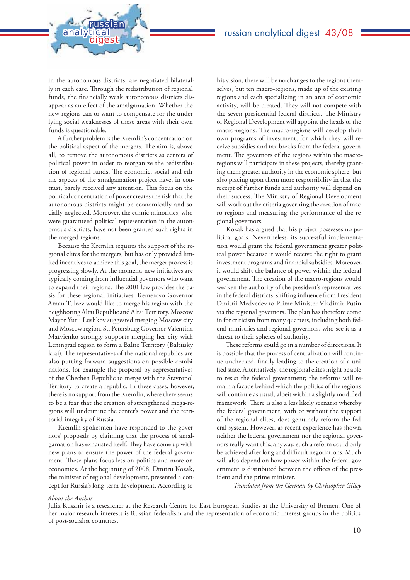in the autonomous districts, are negotiated bilaterally in each case. Through the redistribution of regional funds, the financially weak autonomous districts disappear as an effect of the amalgamation. Whether the new regions can or want to compensate for the underlying social weaknesses of these areas with their own funds is questionable.

analytical<br>digest

russian

A further problem is the Kremlin's concentration on the political aspect of the mergers. The aim is, above all, to remove the autonomous districts as centers of political power in order to reorganize the redistribution of regional funds. The economic, social and ethnic aspects of the amalgamation project have, in contrast, barely received any attention. This focus on the political concentration of power creates the risk that the autonomous districts might be economically and socially neglected. Moreover, the ethnic minorities, who were guaranteed political representation in the autonomous districts, have not been granted such rights in the merged regions.

Because the Kremlin requires the support of the regional elites for the mergers, but has only provided limited incentives to achieve this goal, the merger process is progressing slowly. At the moment, new initiatives are typically coming from influential governors who want to expand their regions. The 2001 law provides the basis for these regional initiatives. Kemerovo Governor Aman Tuleev would like to merge his region with the neighboring Altai Republic and Altai Territory. Moscow Mayor Yurii Lushkov suggested merging Moscow city and Moscow region. St. Petersburg Governor Valentina Matvienko strongly supports merging her city with Leningrad region to form a Baltic Territory (Baltiisky krai). The representatives of the national republics are also putting forward suggestions on possible combinations, for example the proposal by representatives of the Chechen Republic to merge with the Stavropol Territory to create a republic. In these cases, however, there is no support from the Kremlin, where there seems to be a fear that the creation of strengthened mega-regions will undermine the center's power and the territorial integrity of Russia.

Kremlin spokesmen have responded to the governors' proposals by claiming that the process of amalgamation has exhausted itself. They have come up with new plans to ensure the power of the federal government. These plans focus less on politics and more on economics. At the beginning of 2008, Dmitrii Kozak, the minister of regional development, presented a concept for Russia's long-term development. According to

his vision, there will be no changes to the regions themselves, but ten macro-regions, made up of the existing regions and each specializing in an area of economic activity, will be created. They will not compete with the seven presidential federal districts. The Ministry of Regional Development will appoint the heads of the macro-regions. The macro-regions will develop their own programs of investment, for which they will receive subsidies and tax breaks from the federal government. The governors of the regions within the macroregions will participate in these projects, thereby granting them greater authority in the economic sphere, but also placing upon them more responsibility in that the receipt of further funds and authority will depend on their success. The Ministry of Regional Development will work out the criteria governing the creation of macro-regions and measuring the performance of the regional governors.

Kozak has argued that his project possesses no political goals. Nevertheless, its successful implementation would grant the federal government greater political power because it would receive the right to grant investment programs and financial subsidies. Moreover, it would shift the balance of power within the federal government. The creation of the macro-regions would weaken the authority of the president's representatives in the federal districts, shifting influence from President Dmitrii Medvedev to Prime Minister Vladimir Putin via the regional governors. The plan has therefore come in for criticism from many quarters, including both federal ministries and regional governors, who see it as a threat to their spheres of authority.

These reforms could go in a number of directions. It is possible that the process of centralization will continue unchecked, finally leading to the creation of a unified state. Alternatively, the regional elites might be able to resist the federal government; the reforms will remain a façade behind which the politics of the regions will continue as usual, albeit within a slightly modified framework. There is also a less likely scenario whereby the federal government, with or without the support of the regional elites, does genuinely reform the federal system. However, as recent experience has shown, neither the federal government nor the regional governors really want this; anyway, such a reform could only be achieved after long and difficult negotiations. Much will also depend on how power within the federal government is distributed between the offices of the president and the prime minister.

*Translated from the German by Christopher Gilley*

#### *About the Author*

Julia Kusznir is a researcher at the Research Centre for East European Studies at the University of Bremen. One of her major research interests is Russian federalism and the representation of economic interest groups in the politics of post-socialist countries.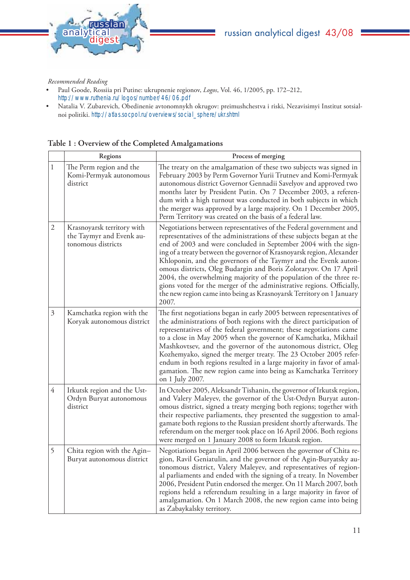

#### *Recommended Reading*

- Paul Goode, Rossiia pri Putine: ukrupnenie regionov, *Logos*, Vol. 46, 1/2005, pp. 172–212, http://www.ruthenia.ru/logos/number/46/06.pdf
- Natalia V. Zubarevich, Obedinenie avtonomnykh okrugov: preimushchestva i riski, Nezavisimyi Institut sotsialnoi politiki. http://atlas.socpol.ru/overviews/social\_sphere/ukr.shtml

|                | Regions                                                                      | Process of merging                                                                                                                                                                                                                                                                                                                                                                                                                                                                                                                                                                                                                                             |
|----------------|------------------------------------------------------------------------------|----------------------------------------------------------------------------------------------------------------------------------------------------------------------------------------------------------------------------------------------------------------------------------------------------------------------------------------------------------------------------------------------------------------------------------------------------------------------------------------------------------------------------------------------------------------------------------------------------------------------------------------------------------------|
| 1              | The Perm region and the<br>Komi-Permyak autonomous<br>district               | The treaty on the amalgamation of these two subjects was signed in<br>February 2003 by Perm Governor Yurii Trutnev and Komi-Permyak<br>autonomous district Governor Gennadii Savelyov and approved two<br>months later by President Putin. On 7 December 2003, a referen-<br>dum with a high turnout was conducted in both subjects in which<br>the merger was approved by a large majority. On 1 December 2005,<br>Perm Territory was created on the basis of a federal law.                                                                                                                                                                                  |
| 2              | Krasnoyarsk territory with<br>the Taymyr and Evenk au-<br>tonomous districts | Negotiations between representatives of the Federal government and<br>representatives of the administrations of these subjects began at the<br>end of 2003 and were concluded in September 2004 with the sign-<br>ing of a treaty between the governor of Krasnoyarsk region, Alexander<br>Khloponin, and the governors of the Taymyr and the Evenk auton-<br>omous districts, Oleg Budargin and Boris Zolotaryov. On 17 April<br>2004, the overwhelming majority of the population of the three re-<br>gions voted for the merger of the administrative regions. Officially,<br>the new region came into being as Krasnoyarsk Territory on 1 January<br>2007. |
| $\mathfrak{Z}$ | Kamchatka region with the<br>Koryak autonomous district                      | The first negotiations began in early 2005 between representatives of<br>the administrations of both regions with the direct participation of<br>representatives of the federal government; these negotiations came<br>to a close in May 2005 when the governor of Kamchatka, Mikhail<br>Mashkovtsev, and the governor of the autonomous district, Oleg<br>Kozhemyako, signed the merger treaty. The 23 October 2005 refer-<br>endum in both regions resulted in a large majority in favor of amal-<br>gamation. The new region came into being as Kamchatka Territory<br>on 1 July 2007.                                                                      |
| $\overline{4}$ | Irkutsk region and the Ust-<br>Ordyn Buryat autonomous<br>district           | In October 2005, Aleksandr Tishanin, the governor of Irkutsk region,<br>and Valery Maleyev, the governor of the Ust-Ordyn Buryat auton-<br>omous district, signed a treaty merging both regions; together with<br>their respective parliaments, they presented the suggestion to amal-<br>gamate both regions to the Russian president shortly afterwards. The<br>referendum on the merger took place on 16 April 2006. Both regions<br>were merged on 1 January 2008 to form Irkutsk region.                                                                                                                                                                  |
| 5              | Chita region with the Agin-<br>Buryat autonomous district                    | Negotiations began in April 2006 between the governor of Chita re-<br>gion, Ravil Geniatulin, and the governor of the Agin-Buryatsky au-<br>tonomous district, Valery Maleyev, and representatives of region-<br>al parliaments and ended with the signing of a treaty. In November<br>2006, President Putin endorsed the merger. On 11 March 2007, both<br>regions held a referendum resulting in a large majority in favor of<br>amalgamation. On 1 March 2008, the new region came into being<br>as Zabaykalsky territory.                                                                                                                                  |

#### **Table 1 : Overview of the Completed Amalgamations**